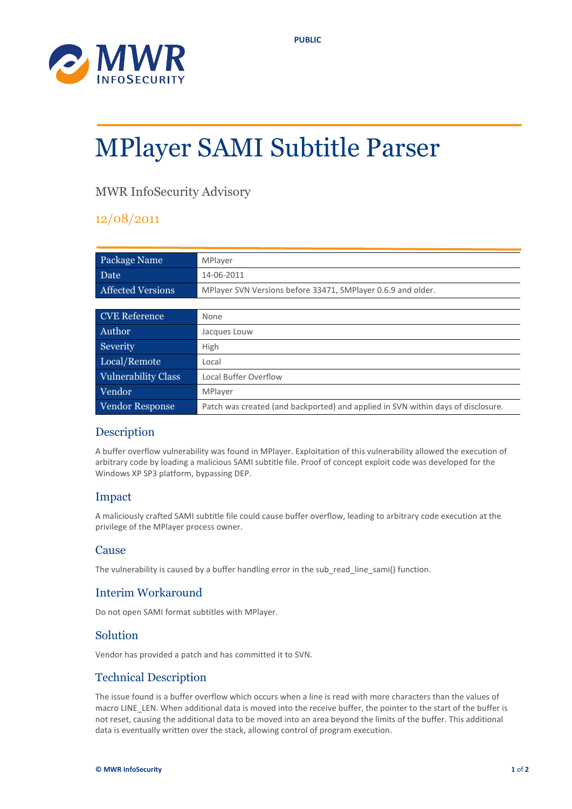



# MPlayer SAMI Subtitle Parser

# MWR InfoSecurity Advisory

## 12/08/2011

| Package Name             | MPlayer                                                                          |  |
|--------------------------|----------------------------------------------------------------------------------|--|
| Date                     | 14-06-2011                                                                       |  |
| <b>Affected Versions</b> | MPlayer SVN Versions before 33471, SMPlayer 0.6.9 and older.                     |  |
|                          |                                                                                  |  |
| <b>CVE Reference</b>     | None                                                                             |  |
| Author                   | Jacques Louw                                                                     |  |
| Severity                 | High                                                                             |  |
| Local/Remote             | Local                                                                            |  |
| Vulnerability Class      | Local Buffer Overflow                                                            |  |
| Vendor                   | MPlayer                                                                          |  |
| Vendor Response          | Patch was created (and backported) and applied in SVN within days of disclosure. |  |

## Description

A buffer overflow vulnerability was found in MPlayer. Exploitation of this vulnerability allowed the execution of arbitrary code by loading a malicious SAMI subtitle file. Proof of concept exploit code was developed for the Windows XP SP3 platform, bypassing DEP.

#### Impact

A maliciously crafted SAMI subtitle file could cause buffer overflow, leading to arbitrary code execution at the privilege of the MPlayer process owner.

#### **Cause**

The vulnerability is caused by a buffer handling error in the sub\_read\_line\_sami() function.

## Interim Workaround

Do not open SAMI format subtitles with MPlayer.

#### Solution

Vendor has provided a patch and has committed it to SVN.

#### Technical Description

The issue found is a buffer overflow which occurs when a line is read with more characters than the values of macro LINE LEN. When additional data is moved into the receive buffer, the pointer to the start of the buffer is not reset, causing the additional data to be moved into an area beyond the limits of the buffer. This additional data is eventually written over the stack, allowing control of program execution.